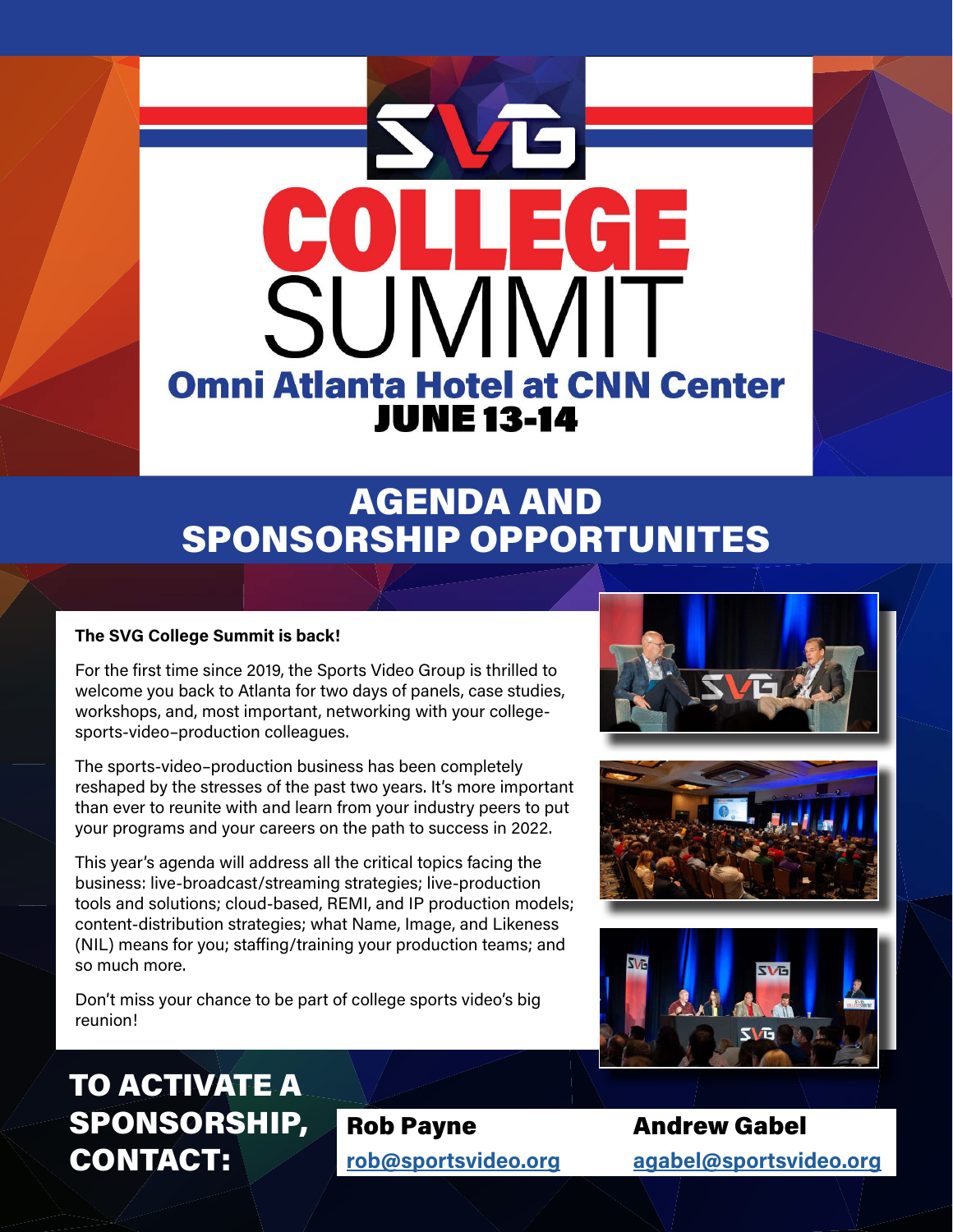

## AGENDA AND SPONSORSHIP OPPORTUNITES

#### **The SVG College Summit is back!**

For the first time since 2019, the Sports Video Group is thrilled to welcome you back to Atlanta for two days of panels, case studies, workshops, and, most important, networking with your collegesports-video–production colleagues.

The sports-video–production business has been completely reshaped by the stresses of the past two years. It's more important than ever to reunite with and learn from your industry peers to put your programs and your careers on the path to success in 2022.

This year's agenda will address all the critical topics facing the business: live-broadcast/streaming strategies; live-production tools and solutions; cloud-based, REMI, and IP production models; content-distribution strategies; what Name, Image, and Likeness (NIL) means for you; staffing/training your production teams; and so much more.

Don't miss your chance to be part of college sports video's big reunion!







## TO ACTIVATE A SPONSORSHIP, CONTACT:

**[rob@sportsvideo.org](mailto:rob%40sportsvideo.org?subject=SVG%20College%20Summit%20Sponsorship)**

Rob Payne

Andrew Gabel **agabel[@sportsvideo.org](mailto:agabel%40sportsvideo.org?subject=SVG%20College%20Summit%20Sponsorship)**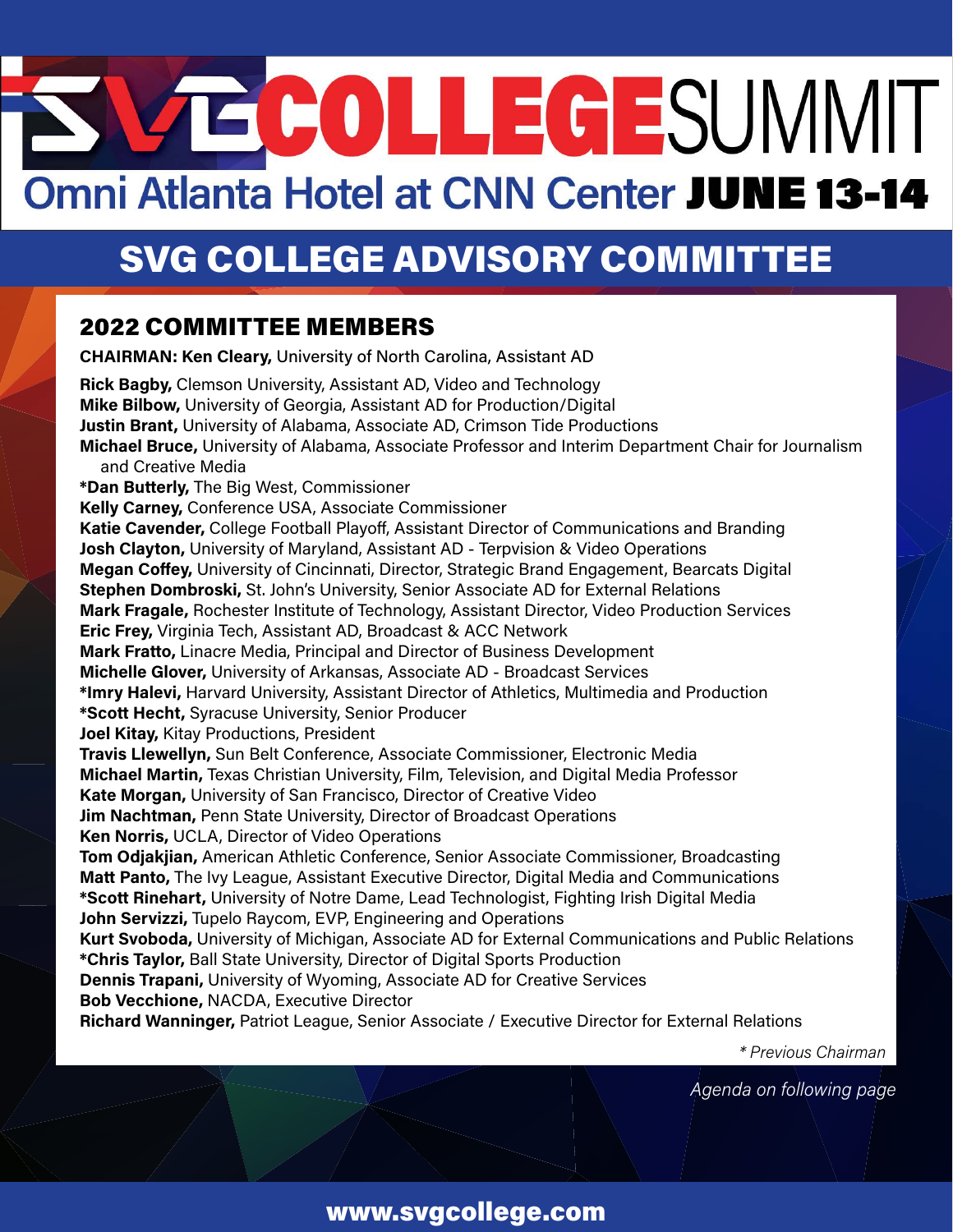# TECOLLEGESUMMIT Omni Atlanta Hotel at CNN Center JUNE 13-14

## SVG COLLEGE ADVISORY COMMITTEE

## 2022 COMMITTEE MEMBERS

**CHAIRMAN: Ken Cleary,** University of North Carolina, Assistant AD **Rick Bagby,** Clemson University, Assistant AD, Video and Technology **Mike Bilbow,** University of Georgia, Assistant AD for Production/Digital **Justin Brant,** University of Alabama, Associate AD, Crimson Tide Productions **Michael Bruce,** University of Alabama, Associate Professor and Interim Department Chair for Journalism and Creative Media **\*Dan Butterly,** The Big West, Commissioner **Kelly Carney,** Conference USA, Associate Commissioner **Katie Cavender,** College Football Playoff, Assistant Director of Communications and Branding **Josh Clayton,** University of Maryland, Assistant AD - Terpvision & Video Operations **Megan Coffey,** University of Cincinnati, Director, Strategic Brand Engagement, Bearcats Digital **Stephen Dombroski,** St. John's University, Senior Associate AD for External Relations **Mark Fragale,** Rochester Institute of Technology, Assistant Director, Video Production Services **Eric Frey,** Virginia Tech, Assistant AD, Broadcast & ACC Network **Mark Fratto,** Linacre Media, Principal and Director of Business Development **Michelle Glover,** University of Arkansas, Associate AD - Broadcast Services **\*Imry Halevi,** Harvard University, Assistant Director of Athletics, Multimedia and Production **\*Scott Hecht,** Syracuse University, Senior Producer **Joel Kitay,** Kitay Productions, President **Travis Llewellyn,** Sun Belt Conference, Associate Commissioner, Electronic Media **Michael Martin,** Texas Christian University, Film, Television, and Digital Media Professor **Kate Morgan,** University of San Francisco, Director of Creative Video **Jim Nachtman,** Penn State University, Director of Broadcast Operations **Ken Norris,** UCLA, Director of Video Operations **Tom Odjakjian,** American Athletic Conference, Senior Associate Commissioner, Broadcasting **Matt Panto,** The Ivy League, Assistant Executive Director, Digital Media and Communications **\*Scott Rinehart,** University of Notre Dame, Lead Technologist, Fighting Irish Digital Media **John Servizzi,** Tupelo Raycom, EVP, Engineering and Operations **Kurt Svoboda,** University of Michigan, Associate AD for External Communications and Public Relations **\*Chris Taylor,** Ball State University, Director of Digital Sports Production **Dennis Trapani,** University of Wyoming, Associate AD for Creative Services **Bob Vecchione,** NACDA, Executive Director **Richard Wanninger,** Patriot League, Senior Associate / Executive Director for External Relations

*\* Previous Chairman*

*Agenda on following page*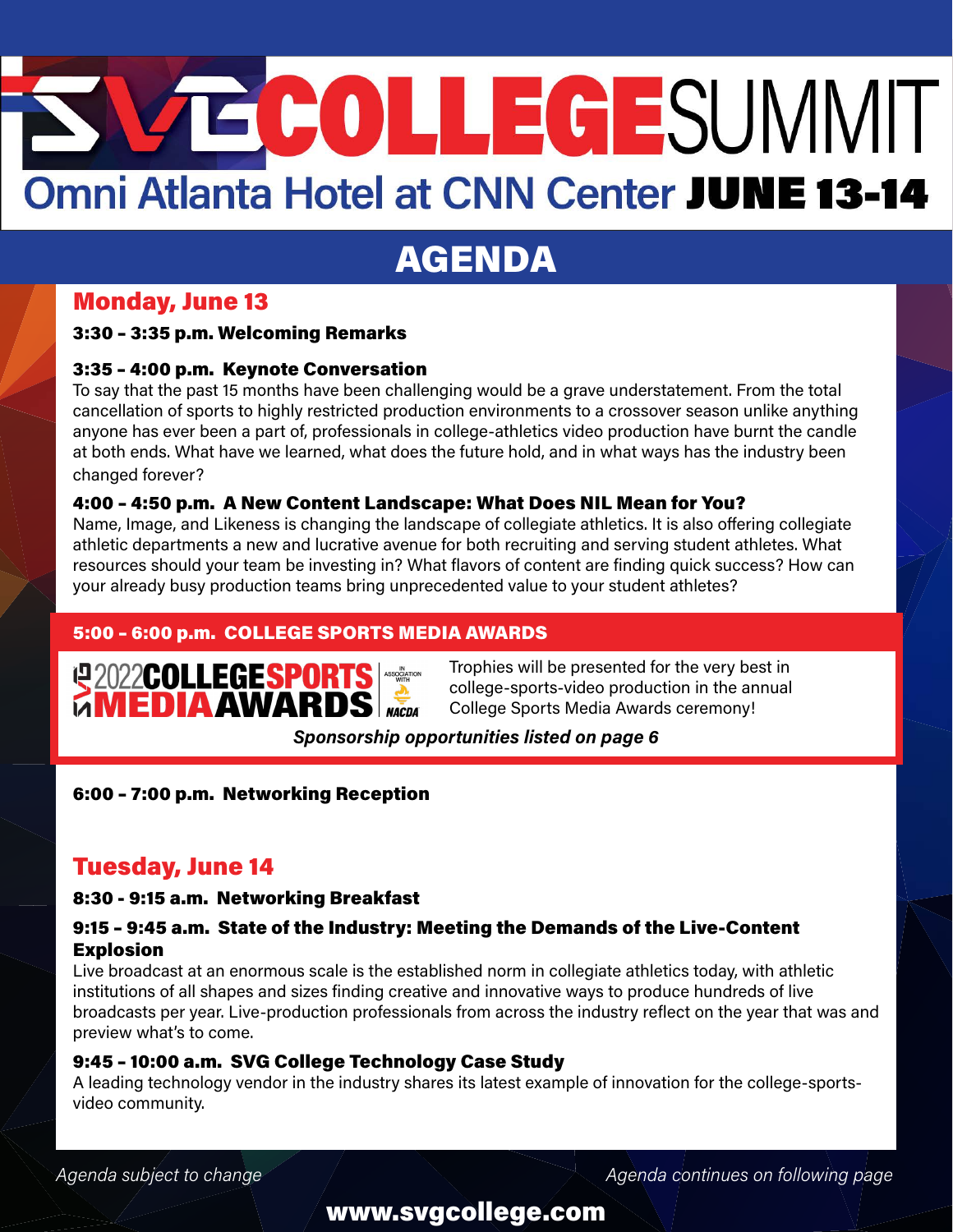# **TECOLLEGESUMMIT** Omni Atlanta Hotel at CNN Center JUNE 13-14

## AGENDA

## Monday, June 13

#### 3:30 – 3:35 p.m. Welcoming Remarks

#### 3:35 – 4:00 p.m. Keynote Conversation

To say that the past 15 months have been challenging would be a grave understatement. From the total cancellation of sports to highly restricted production environments to a crossover season unlike anything anyone has ever been a part of, professionals in college-athletics video production have burnt the candle at both ends. What have we learned, what does the future hold, and in what ways has the industry been changed forever?

#### 4:00 – 4:50 p.m. A New Content Landscape: What Does NIL Mean for You?

Name, Image, and Likeness is changing the landscape of collegiate athletics. It is also offering collegiate athletic departments a new and lucrative avenue for both recruiting and serving student athletes. What resources should your team be investing in? What flavors of content are finding quick success? How can your already busy production teams bring unprecedented value to your student athletes?

#### 5:00 – 6:00 p.m. COLLEGE SPORTS MEDIA AWARDS



Trophies will be presented for the very best in college-sports-video production in the annual College Sports Media Awards ceremony!

#### *Sponsorship opportunities listed on page 6*

6:00 – 7:00 p.m. Networking Reception

## Tuesday, June 14

#### 8:30 - 9:15 a.m. Networking Breakfast

#### 9:15 – 9:45 a.m. State of the Industry: Meeting the Demands of the Live-Content Explosion

Live broadcast at an enormous scale is the established norm in collegiate athletics today, with athletic institutions of all shapes and sizes finding creative and innovative ways to produce hundreds of live broadcasts per year. Live-production professionals from across the industry reflect on the year that was and preview what's to come.

#### 9:45 – 10:00 a.m. SVG College Technology Case Study

A leading technology vendor in the industry shares its latest example of innovation for the college-sportsvideo community.

Agenda subject to change *Agenda continues on following page* Agenda continues on following page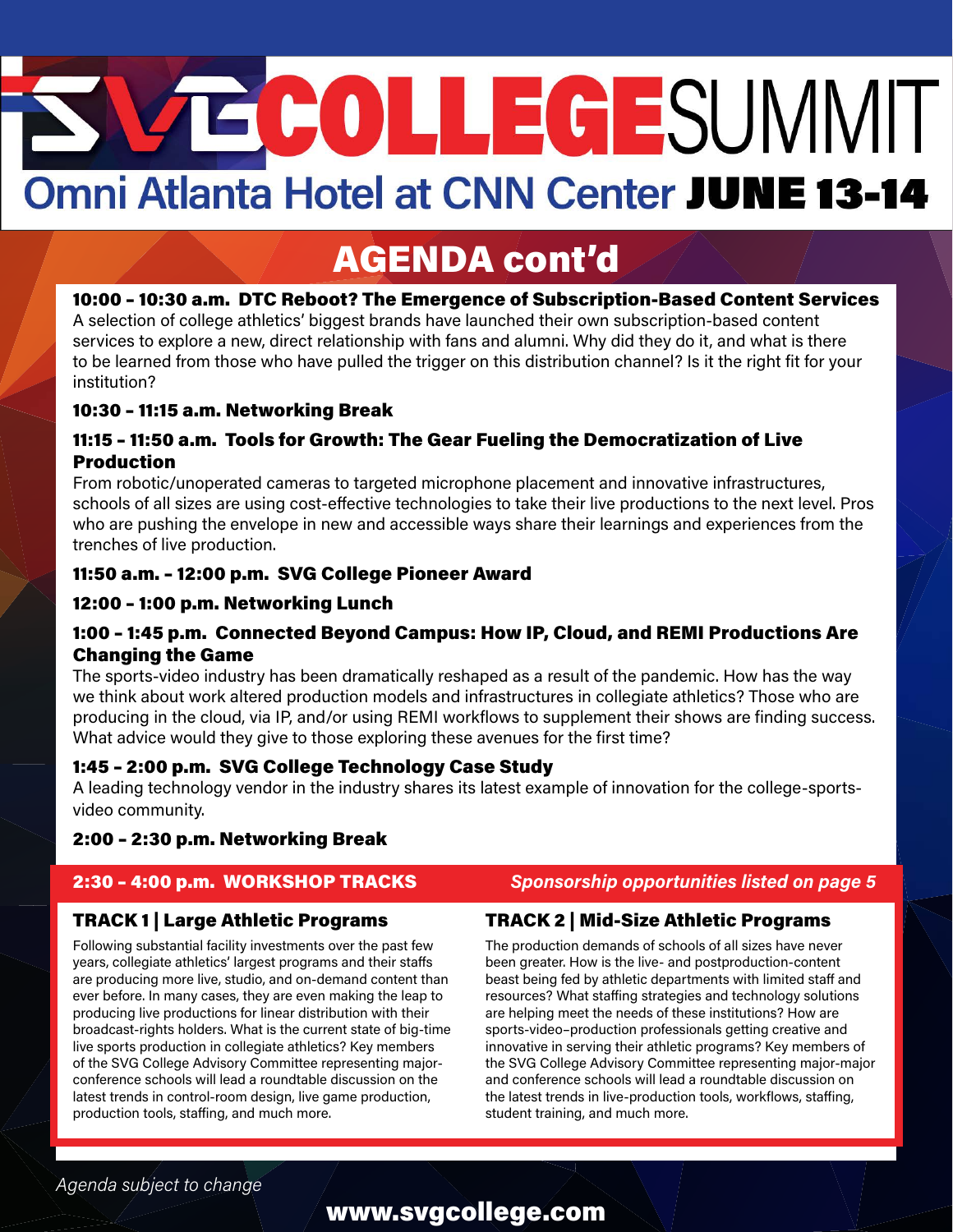# ECOLLEGESUMMIT Omni Atlanta Hotel at CNN Center JUNE 13-14

## AGENDA cont'd

#### 10:00 – 10:30 a.m. DTC Reboot? The Emergence of Subscription-Based Content Services

A selection of college athletics' biggest brands have launched their own subscription-based content services to explore a new, direct relationship with fans and alumni. Why did they do it, and what is there to be learned from those who have pulled the trigger on this distribution channel? Is it the right fit for your institution?

#### 10:30 – 11:15 a.m. Networking Break

#### 11:15 – 11:50 a.m. Tools for Growth: The Gear Fueling the Democratization of Live Production

From robotic/unoperated cameras to targeted microphone placement and innovative infrastructures, schools of all sizes are using cost-effective technologies to take their live productions to the next level. Pros who are pushing the envelope in new and accessible ways share their learnings and experiences from the trenches of live production.

#### 11:50 a.m. – 12:00 p.m. SVG College Pioneer Award

#### 12:00 – 1:00 p.m. Networking Lunch

#### 1:00 – 1:45 p.m. Connected Beyond Campus: How IP, Cloud, and REMI Productions Are Changing the Game

The sports-video industry has been dramatically reshaped as a result of the pandemic. How has the way we think about work altered production models and infrastructures in collegiate athletics? Those who are producing in the cloud, via IP, and/or using REMI workflows to supplement their shows are finding success. What advice would they give to those exploring these avenues for the first time?

#### 1:45 – 2:00 p.m. SVG College Technology Case Study

A leading technology vendor in the industry shares its latest example of innovation for the college-sportsvideo community.

#### 2:00 – 2:30 p.m. Networking Break

#### TRACK 1 | Large Athletic Programs

Following substantial facility investments over the past few years, collegiate athletics' largest programs and their staffs are producing more live, studio, and on-demand content than ever before. In many cases, they are even making the leap to producing live productions for linear distribution with their broadcast-rights holders. What is the current state of big-time live sports production in collegiate athletics? Key members of the SVG College Advisory Committee representing majorconference schools will lead a roundtable discussion on the latest trends in control-room design, live game production, production tools, staffing, and much more.

#### 2:30 – 4:00 p.m. WORKSHOP TRACKS *Sponsorship opportunities listed on page 5*

#### TRACK 2 | Mid-Size Athletic Programs

The production demands of schools of all sizes have never been greater. How is the live- and postproduction-content beast being fed by athletic departments with limited staff and resources? What staffing strategies and technology solutions are helping meet the needs of these institutions? How are sports-video–production professionals getting creative and innovative in serving their athletic programs? Key members of the SVG College Advisory Committee representing major-major and conference schools will lead a roundtable discussion on the latest trends in live-production tools, workflows, staffing, student training, and much more.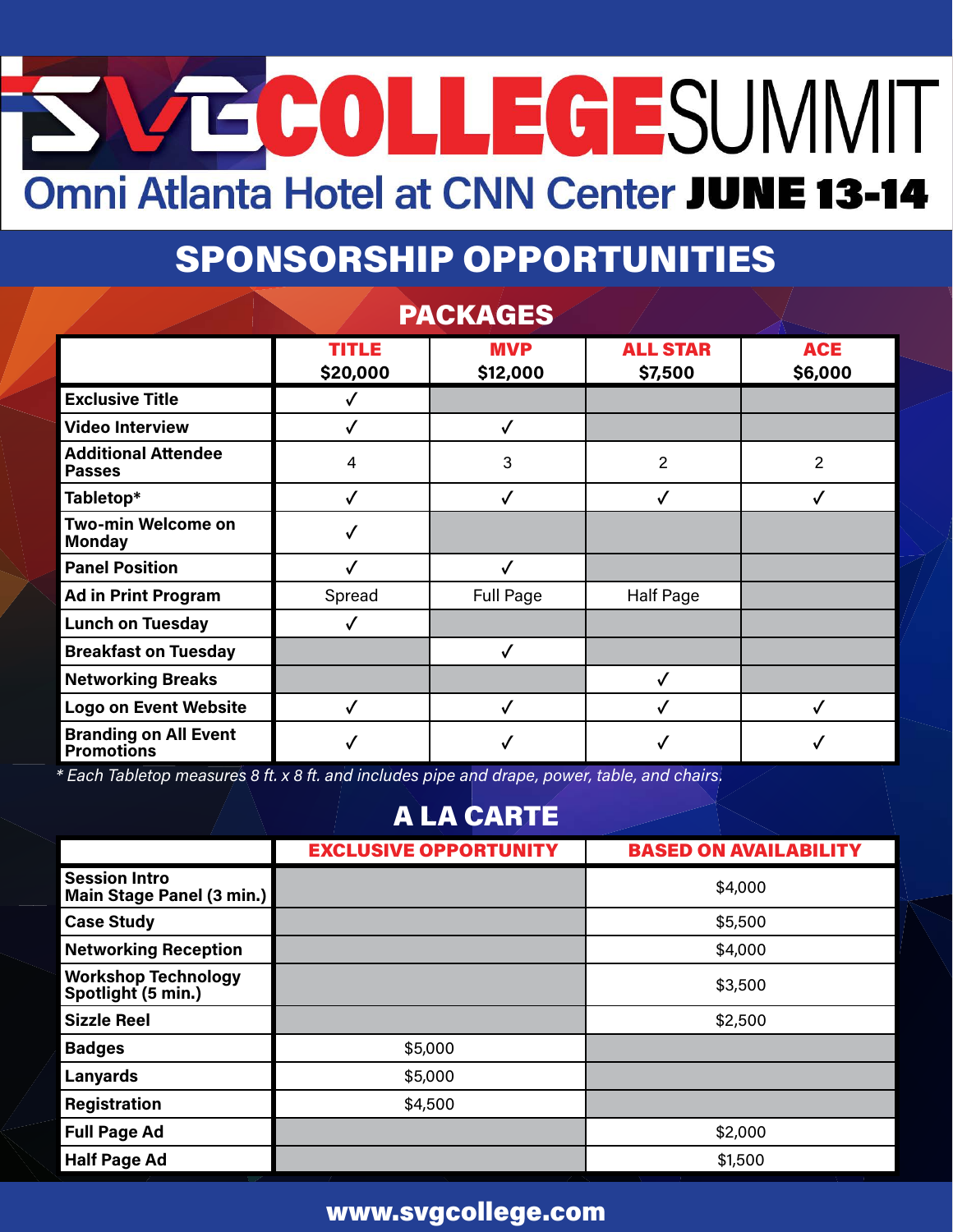# SVECOLLEGESUMMIT Omni Atlanta Hotel at CNN Center JUNE 13-14

## SPONSORSHIP OPPORTUNITIES

|                                                   |                          | <b>PACKAGES</b>        |                            |                       |
|---------------------------------------------------|--------------------------|------------------------|----------------------------|-----------------------|
|                                                   | <b>TITLE</b><br>\$20,000 | <b>MVP</b><br>\$12,000 | <b>ALL STAR</b><br>\$7,500 | <b>ACE</b><br>\$6,000 |
| <b>Exclusive Title</b>                            |                          |                        |                            |                       |
| <b>Video Interview</b>                            |                          |                        |                            |                       |
| <b>Additional Attendee</b><br><b>Passes</b>       | 4                        | 3                      | $\overline{2}$             | $\overline{2}$        |
| Tabletop*                                         | √                        | √                      | √                          |                       |
| <b>Two-min Welcome on</b><br><b>Monday</b>        | √                        |                        |                            |                       |
| <b>Panel Position</b>                             |                          |                        |                            |                       |
| <b>Ad in Print Program</b>                        | Spread                   | <b>Full Page</b>       | <b>Half Page</b>           |                       |
| <b>Lunch on Tuesday</b>                           |                          |                        |                            |                       |
| <b>Breakfast on Tuesday</b>                       |                          |                        |                            |                       |
| <b>Networking Breaks</b>                          |                          |                        |                            |                       |
| <b>Logo on Event Website</b>                      | √                        |                        |                            |                       |
| <b>Branding on All Event</b><br><b>Promotions</b> |                          |                        |                            |                       |

*\* Each Tabletop measures 8 ft. x 8 ft. and includes pipe and drape, power, table, and chairs.*

## A LA CARTE

|                                                   | <b>EXCLUSIVE OPPORTUNITY</b> | <b>BASED ON AVAILABILITY</b> |
|---------------------------------------------------|------------------------------|------------------------------|
| <b>Session Intro</b><br>Main Stage Panel (3 min.) |                              | \$4,000                      |
| <b>Case Study</b>                                 |                              | \$5,500                      |
| <b>Networking Reception</b>                       |                              | \$4,000                      |
| <b>Workshop Technology</b><br>Spotlight (5 min.)  |                              | \$3,500                      |
| <b>Sizzle Reel</b>                                |                              | \$2,500                      |
| <b>Badges</b>                                     | \$5,000                      |                              |
| <b>Lanyards</b>                                   | \$5,000                      |                              |
| Registration                                      | \$4,500                      |                              |
| <b>Full Page Ad</b>                               |                              | \$2,000                      |
| <b>Half Page Ad</b>                               |                              | \$1,500                      |